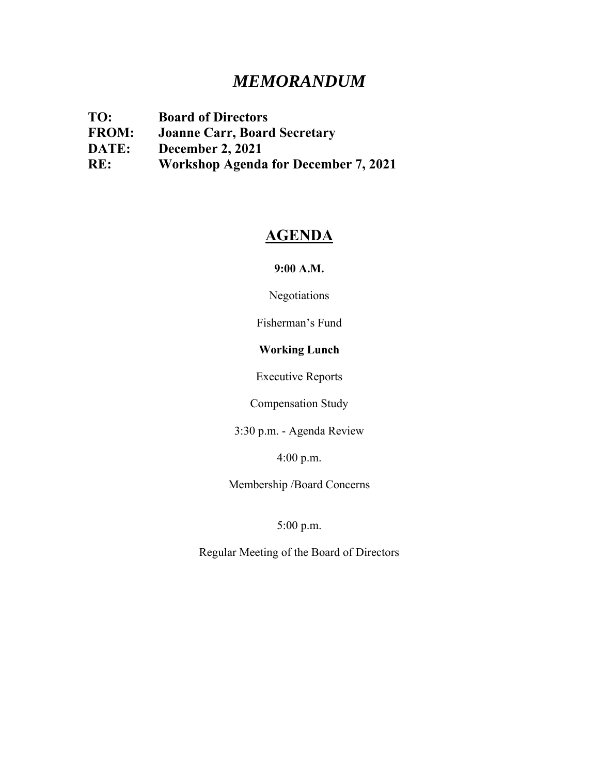# *MEMORANDUM*

**TO: Board of Directors FROM: Joanne Carr, Board Secretary DATE: December 2, 2021 RE: Workshop Agenda for December 7, 2021**

## **AGENDA**

**9:00 A.M.** 

Negotiations

Fisherman's Fund

## **Working Lunch**

Executive Reports

Compensation Study

3:30 p.m. - Agenda Review

4:00 p.m.

Membership /Board Concerns

5:00 p.m.

Regular Meeting of the Board of Directors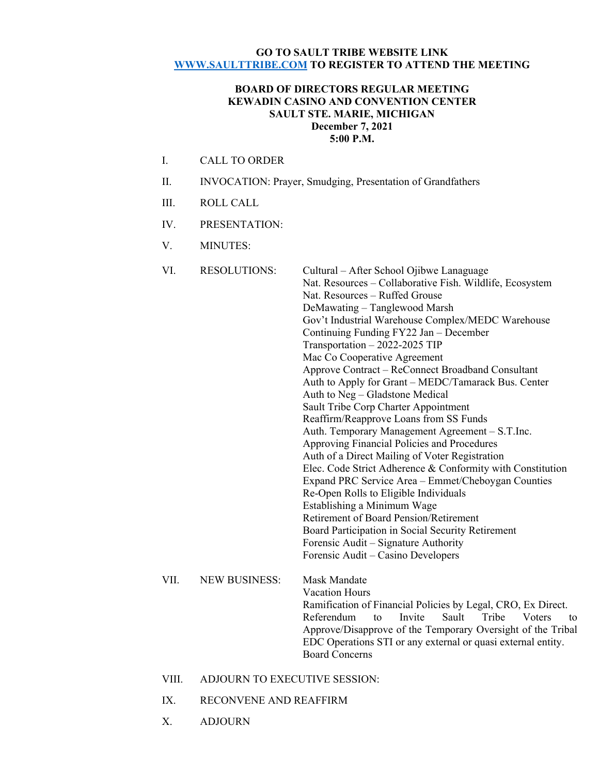#### **GO TO SAULT TRIBE WEBSITE LINK WWW.SAULTTRIBE.COM TO REGISTER TO ATTEND THE MEETING**

#### **BOARD OF DIRECTORS REGULAR MEETING KEWADIN CASINO AND CONVENTION CENTER SAULT STE. MARIE, MICHIGAN December 7, 2021 5:00 P.M.**

- I. CALL TO ORDER
- II. INVOCATION: Prayer, Smudging, Presentation of Grandfathers
- III. ROLL CALL
- IV. PRESENTATION:
- V. MINUTES:

| VI.  | <b>RESOLUTIONS:</b>  | Cultural – After School Ojibwe Lanaguage<br>Nat. Resources - Collaborative Fish. Wildlife, Ecosystem<br>Nat. Resources - Ruffed Grouse<br>DeMawating - Tanglewood Marsh<br>Gov't Industrial Warehouse Complex/MEDC Warehouse<br>Continuing Funding FY22 Jan - December<br>Transportation - 2022-2025 TIP<br>Mac Co Cooperative Agreement<br>Approve Contract - ReConnect Broadband Consultant<br>Auth to Apply for Grant - MEDC/Tamarack Bus. Center<br>Auth to Neg - Gladstone Medical<br>Sault Tribe Corp Charter Appointment<br>Reaffirm/Reapprove Loans from SS Funds<br>Auth. Temporary Management Agreement - S.T.Inc.<br>Approving Financial Policies and Procedures<br>Auth of a Direct Mailing of Voter Registration<br>Elec. Code Strict Adherence & Conformity with Constitution<br>Expand PRC Service Area - Emmet/Cheboygan Counties<br>Re-Open Rolls to Eligible Individuals<br>Establishing a Minimum Wage<br>Retirement of Board Pension/Retirement<br>Board Participation in Social Security Retirement<br>Forensic Audit - Signature Authority |
|------|----------------------|------------------------------------------------------------------------------------------------------------------------------------------------------------------------------------------------------------------------------------------------------------------------------------------------------------------------------------------------------------------------------------------------------------------------------------------------------------------------------------------------------------------------------------------------------------------------------------------------------------------------------------------------------------------------------------------------------------------------------------------------------------------------------------------------------------------------------------------------------------------------------------------------------------------------------------------------------------------------------------------------------------------------------------------------------------------|
|      |                      | Forensic Audit – Casino Developers                                                                                                                                                                                                                                                                                                                                                                                                                                                                                                                                                                                                                                                                                                                                                                                                                                                                                                                                                                                                                               |
| VII. | <b>NEW BUSINESS:</b> | <b>Mask Mandate</b><br><b>Vacation Hours</b><br>Ramification of Financial Policies by Legal, CRO, Ex Direct.<br>Referendum<br>Invite<br>Sault<br>Tribe<br>Voters<br>to<br>to<br>Approve/Disapprove of the Temporary Oversight of the Tribal<br>EDC Operations STI or any external or quasi external entity.<br><b>Board Concerns</b>                                                                                                                                                                                                                                                                                                                                                                                                                                                                                                                                                                                                                                                                                                                             |

#### VIII. ADJOURN TO EXECUTIVE SESSION:

- IX. RECONVENE AND REAFFIRM
- X. ADJOURN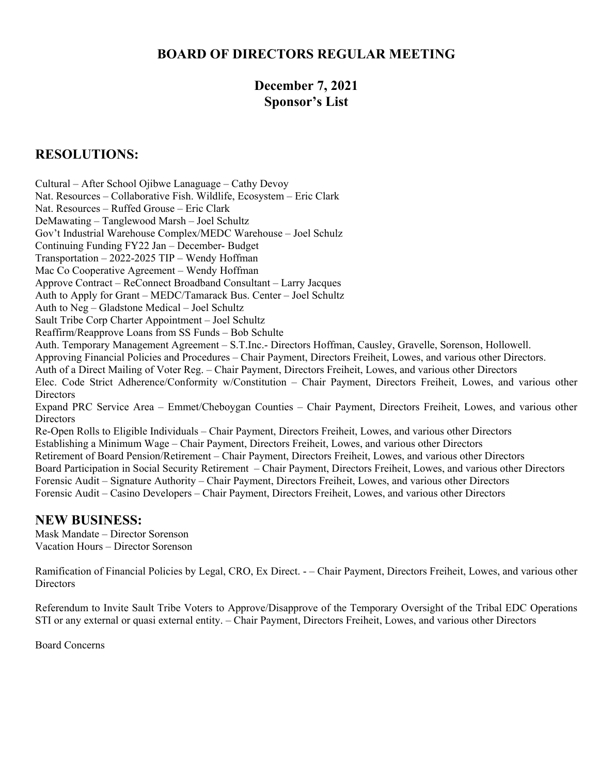## **BOARD OF DIRECTORS REGULAR MEETING**

## **December 7, 2021 Sponsor's List**

## **RESOLUTIONS:**

Cultural – After School Ojibwe Lanaguage – Cathy Devoy Nat. Resources – Collaborative Fish. Wildlife, Ecosystem – Eric Clark Nat. Resources – Ruffed Grouse – Eric Clark DeMawating – Tanglewood Marsh – Joel Schultz Gov't Industrial Warehouse Complex/MEDC Warehouse – Joel Schulz Continuing Funding FY22 Jan – December- Budget Transportation – 2022-2025 TIP – Wendy Hoffman Mac Co Cooperative Agreement – Wendy Hoffman Approve Contract – ReConnect Broadband Consultant – Larry Jacques Auth to Apply for Grant – MEDC/Tamarack Bus. Center – Joel Schultz Auth to Neg – Gladstone Medical – Joel Schultz Sault Tribe Corp Charter Appointment – Joel Schultz Reaffirm/Reapprove Loans from SS Funds – Bob Schulte Auth. Temporary Management Agreement – S.T.Inc.- Directors Hoffman, Causley, Gravelle, Sorenson, Hollowell. Approving Financial Policies and Procedures – Chair Payment, Directors Freiheit, Lowes, and various other Directors. Auth of a Direct Mailing of Voter Reg. – Chair Payment, Directors Freiheit, Lowes, and various other Directors Elec. Code Strict Adherence/Conformity w/Constitution – Chair Payment, Directors Freiheit, Lowes, and various other **Directors** Expand PRC Service Area – Emmet/Cheboygan Counties – Chair Payment, Directors Freiheit, Lowes, and various other **Directors** Re-Open Rolls to Eligible Individuals – Chair Payment, Directors Freiheit, Lowes, and various other Directors Establishing a Minimum Wage – Chair Payment, Directors Freiheit, Lowes, and various other Directors Retirement of Board Pension/Retirement – Chair Payment, Directors Freiheit, Lowes, and various other Directors Board Participation in Social Security Retirement – Chair Payment, Directors Freiheit, Lowes, and various other Directors Forensic Audit – Signature Authority – Chair Payment, Directors Freiheit, Lowes, and various other Directors Forensic Audit – Casino Developers – Chair Payment, Directors Freiheit, Lowes, and various other Directors

## **NEW BUSINESS:**

Mask Mandate – Director Sorenson Vacation Hours – Director Sorenson

Ramification of Financial Policies by Legal, CRO, Ex Direct. - – Chair Payment, Directors Freiheit, Lowes, and various other **Directors** 

Referendum to Invite Sault Tribe Voters to Approve/Disapprove of the Temporary Oversight of the Tribal EDC Operations STI or any external or quasi external entity. – Chair Payment, Directors Freiheit, Lowes, and various other Directors

Board Concerns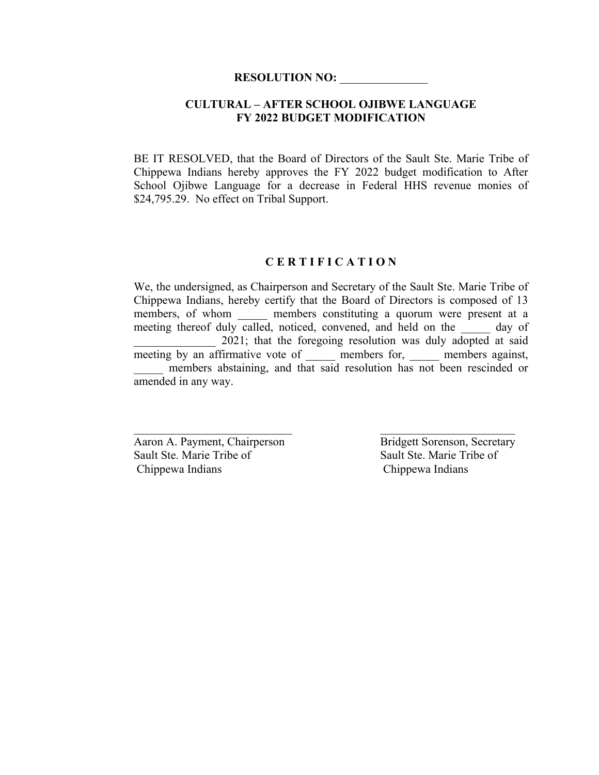### **CULTURAL – AFTER SCHOOL OJIBWE LANGUAGE FY 2022 BUDGET MODIFICATION**

BE IT RESOLVED, that the Board of Directors of the Sault Ste. Marie Tribe of Chippewa Indians hereby approves the FY 2022 budget modification to After School Ojibwe Language for a decrease in Federal HHS revenue monies of \$24,795.29. No effect on Tribal Support.

#### **C E R T I F I C A T I O N**

We, the undersigned, as Chairperson and Secretary of the Sault Ste. Marie Tribe of Chippewa Indians, hereby certify that the Board of Directors is composed of 13 members, of whom \_\_\_\_\_\_ members constituting a quorum were present at a meeting thereof duly called, noticed, convened, and held on the day of 2021; that the foregoing resolution was duly adopted at said meeting by an affirmative vote of \_\_\_\_\_\_ members for, \_\_\_\_\_ members against, members abstaining, and that said resolution has not been rescinded or amended in any way.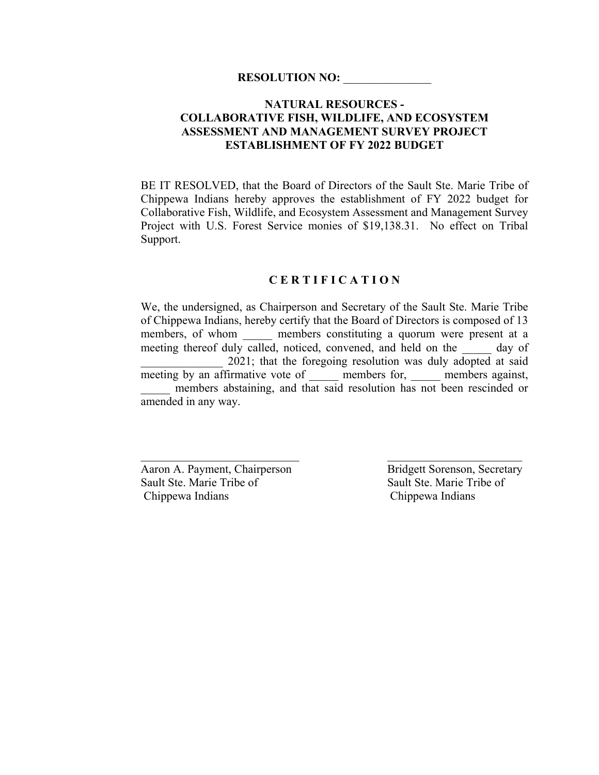## **NATURAL RESOURCES - COLLABORATIVE FISH, WILDLIFE, AND ECOSYSTEM ASSESSMENT AND MANAGEMENT SURVEY PROJECT ESTABLISHMENT OF FY 2022 BUDGET**

BE IT RESOLVED, that the Board of Directors of the Sault Ste. Marie Tribe of Chippewa Indians hereby approves the establishment of FY 2022 budget for Collaborative Fish, Wildlife, and Ecosystem Assessment and Management Survey Project with U.S. Forest Service monies of \$19,138.31. No effect on Tribal Support.

## **C E R T I F I C A T I O N**

We, the undersigned, as Chairperson and Secretary of the Sault Ste. Marie Tribe of Chippewa Indians, hereby certify that the Board of Directors is composed of 13 members, of whom embers constituting a quorum were present at a meeting thereof duly called, noticed, convened, and held on the \_\_\_\_\_ day of 2021; that the foregoing resolution was duly adopted at said meeting by an affirmative vote of \_\_\_\_\_\_ members for, \_\_\_\_\_ members against, \_\_\_\_\_ members abstaining, and that said resolution has not been rescinded or amended in any way.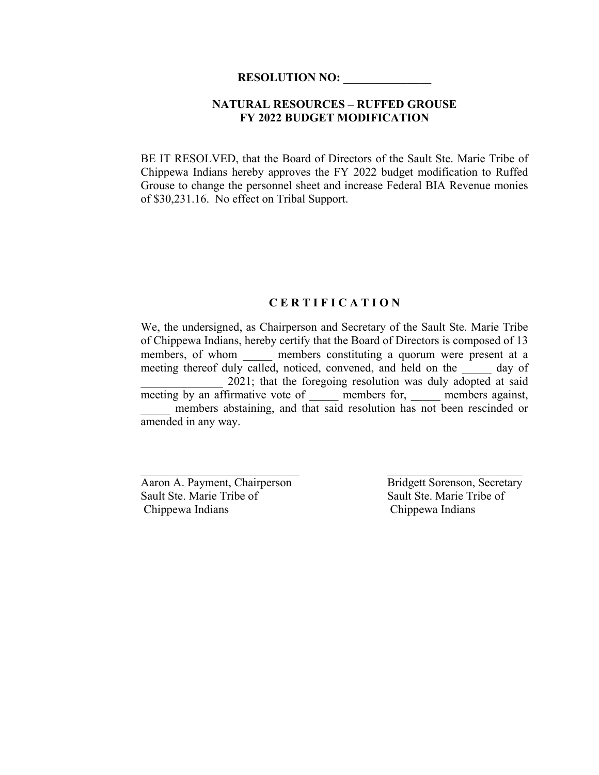### **NATURAL RESOURCES – RUFFED GROUSE FY 2022 BUDGET MODIFICATION**

BE IT RESOLVED, that the Board of Directors of the Sault Ste. Marie Tribe of Chippewa Indians hereby approves the FY 2022 budget modification to Ruffed Grouse to change the personnel sheet and increase Federal BIA Revenue monies of \$30,231.16. No effect on Tribal Support.

#### **C E R T I F I C A T I O N**

We, the undersigned, as Chairperson and Secretary of the Sault Ste. Marie Tribe of Chippewa Indians, hereby certify that the Board of Directors is composed of 13 members, of whom \_\_\_\_\_\_ members constituting a quorum were present at a meeting thereof duly called, noticed, convened, and held on the day of 2021; that the foregoing resolution was duly adopted at said meeting by an affirmative vote of \_\_\_\_\_\_ members for, \_\_\_\_\_ members against, members abstaining, and that said resolution has not been rescinded or amended in any way.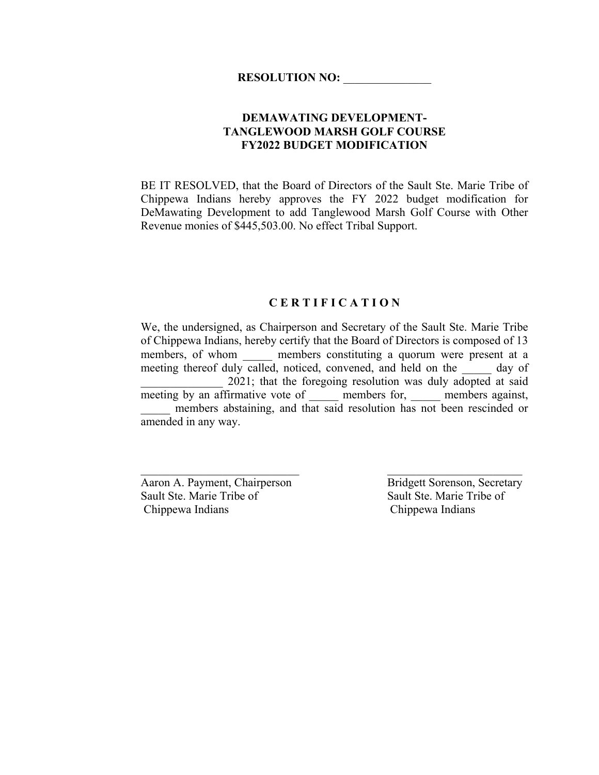## **DEMAWATING DEVELOPMENT-TANGLEWOOD MARSH GOLF COURSE FY2022 BUDGET MODIFICATION**

BE IT RESOLVED, that the Board of Directors of the Sault Ste. Marie Tribe of Chippewa Indians hereby approves the FY 2022 budget modification for DeMawating Development to add Tanglewood Marsh Golf Course with Other Revenue monies of \$445,503.00. No effect Tribal Support.

#### **C E R T I F I C A T I O N**

We, the undersigned, as Chairperson and Secretary of the Sault Ste. Marie Tribe of Chippewa Indians, hereby certify that the Board of Directors is composed of 13 members, of whom \_\_\_\_\_\_ members constituting a quorum were present at a meeting thereof duly called, noticed, convened, and held on the day of 2021; that the foregoing resolution was duly adopted at said meeting by an affirmative vote of \_\_\_\_\_\_ members for, \_\_\_\_\_ members against, members abstaining, and that said resolution has not been rescinded or amended in any way.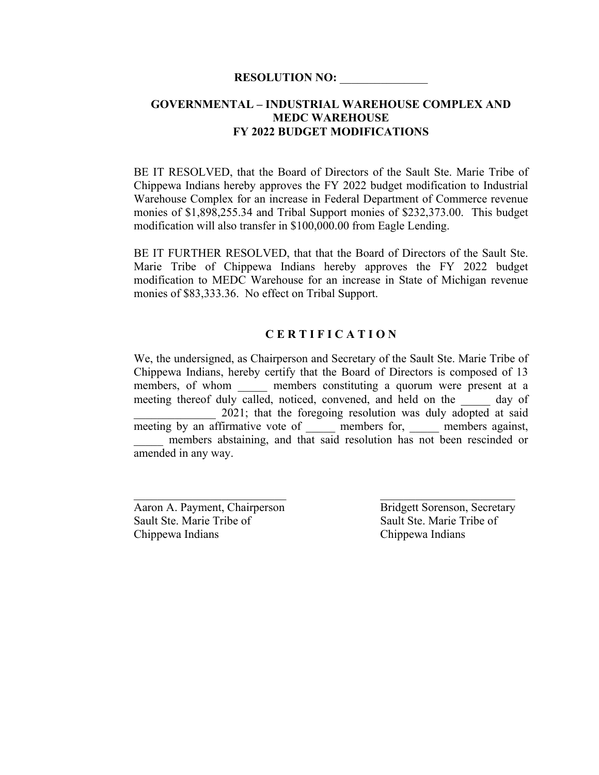### **GOVERNMENTAL – INDUSTRIAL WAREHOUSE COMPLEX AND MEDC WAREHOUSE FY 2022 BUDGET MODIFICATIONS**

BE IT RESOLVED, that the Board of Directors of the Sault Ste. Marie Tribe of Chippewa Indians hereby approves the FY 2022 budget modification to Industrial Warehouse Complex for an increase in Federal Department of Commerce revenue monies of \$1,898,255.34 and Tribal Support monies of \$232,373.00. This budget modification will also transfer in \$100,000.00 from Eagle Lending.

BE IT FURTHER RESOLVED, that that the Board of Directors of the Sault Ste. Marie Tribe of Chippewa Indians hereby approves the FY 2022 budget modification to MEDC Warehouse for an increase in State of Michigan revenue monies of \$83,333.36. No effect on Tribal Support.

#### **C E R T I F I C A T I O N**

We, the undersigned, as Chairperson and Secretary of the Sault Ste. Marie Tribe of Chippewa Indians, hereby certify that the Board of Directors is composed of 13 members, of whom \_\_\_\_\_\_ members constituting a quorum were present at a meeting thereof duly called, noticed, convened, and held on the day of 2021; that the foregoing resolution was duly adopted at said meeting by an affirmative vote of \_\_\_\_\_\_ members for, \_\_\_\_\_ members against, members abstaining, and that said resolution has not been rescinded or amended in any way.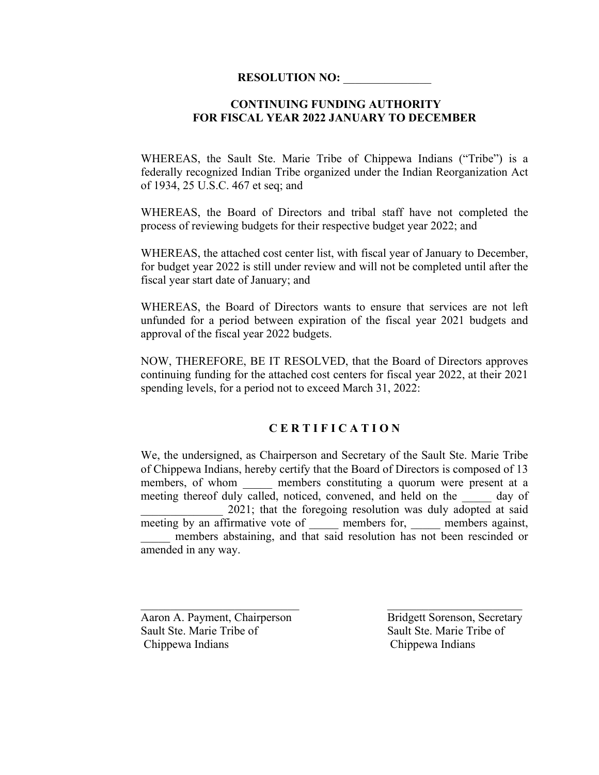### **CONTINUING FUNDING AUTHORITY FOR FISCAL YEAR 2022 JANUARY TO DECEMBER**

WHEREAS, the Sault Ste. Marie Tribe of Chippewa Indians ("Tribe") is a federally recognized Indian Tribe organized under the Indian Reorganization Act of 1934, 25 U.S.C. 467 et seq; and

WHEREAS, the Board of Directors and tribal staff have not completed the process of reviewing budgets for their respective budget year 2022; and

WHEREAS, the attached cost center list, with fiscal year of January to December, for budget year 2022 is still under review and will not be completed until after the fiscal year start date of January; and

WHEREAS, the Board of Directors wants to ensure that services are not left unfunded for a period between expiration of the fiscal year 2021 budgets and approval of the fiscal year 2022 budgets.

NOW, THEREFORE, BE IT RESOLVED, that the Board of Directors approves continuing funding for the attached cost centers for fiscal year 2022, at their 2021 spending levels, for a period not to exceed March 31, 2022:

#### **C E R T I F I C A T I O N**

We, the undersigned, as Chairperson and Secretary of the Sault Ste. Marie Tribe of Chippewa Indians, hereby certify that the Board of Directors is composed of 13 members, of whom a members constituting a quorum were present at a meeting thereof duly called, noticed, convened, and held on the day of 2021; that the foregoing resolution was duly adopted at said meeting by an affirmative vote of members for, members against, members abstaining, and that said resolution has not been rescinded or amended in any way.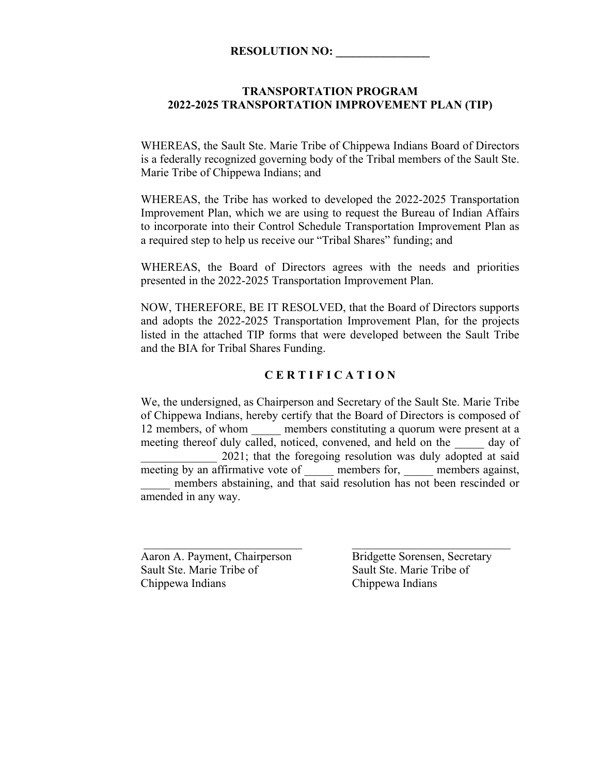## **RESOLUTION NO:**

#### **TRANSPORTATION PROGRAM 2022-2025 TRANSPORTATION IMPROVEMENT PLAN (TIP)**

WHEREAS, the Sault Ste. Marie Tribe of Chippewa Indians Board of Directors is a federally recognized governing body of the Tribal members of the Sault Ste. Marie Tribe of Chippewa Indians; and

WHEREAS, the Tribe has worked to developed the 2022-2025 Transportation Improvement Plan, which we are using to request the Bureau of Indian Affairs to incorporate into their Control Schedule Transportation Improvement Plan as a required step to help us receive our "Tribal Shares" funding; and

WHEREAS, the Board of Directors agrees with the needs and priorities presented in the 2022-2025 Transportation Improvement Plan.

NOW, THEREFORE, BE IT RESOLVED, that the Board of Directors supports and adopts the 2022-2025 Transportation Improvement Plan, for the projects listed in the attached TIP forms that were developed between the Sault Tribe and the BIA for Tribal Shares Funding.

#### **C E R T I F I C A T I O N**

We, the undersigned, as Chairperson and Secretary of the Sault Ste. Marie Tribe of Chippewa Indians, hereby certify that the Board of Directors is composed of 12 members, of whom members constituting a quorum were present at a meeting thereof duly called, noticed, convened, and held on the day of \_\_\_\_\_\_\_\_\_\_\_\_\_ 2021; that the foregoing resolution was duly adopted at said meeting by an affirmative vote of members for, members against, members abstaining, and that said resolution has not been rescinded or amended in any way.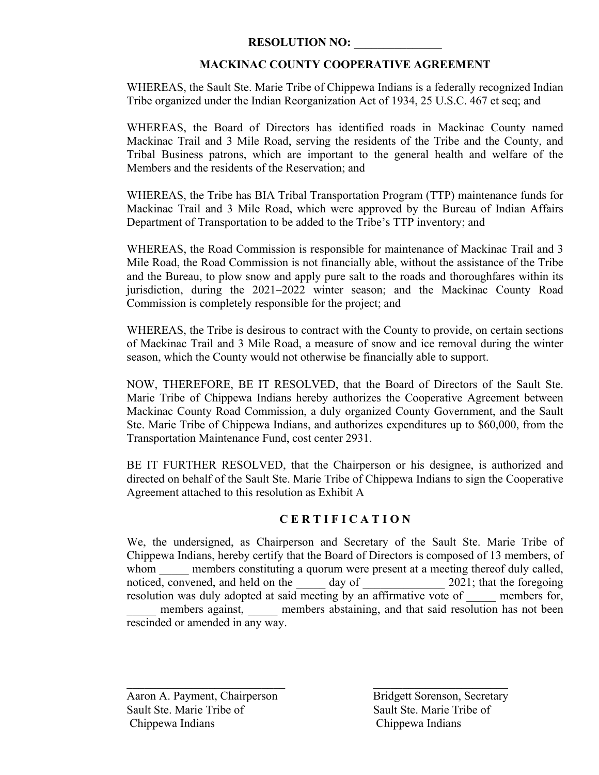## **MACKINAC COUNTY COOPERATIVE AGREEMENT**

WHEREAS, the Sault Ste. Marie Tribe of Chippewa Indians is a federally recognized Indian Tribe organized under the Indian Reorganization Act of 1934, 25 U.S.C. 467 et seq; and

WHEREAS, the Board of Directors has identified roads in Mackinac County named Mackinac Trail and 3 Mile Road, serving the residents of the Tribe and the County, and Tribal Business patrons, which are important to the general health and welfare of the Members and the residents of the Reservation; and

WHEREAS, the Tribe has BIA Tribal Transportation Program (TTP) maintenance funds for Mackinac Trail and 3 Mile Road, which were approved by the Bureau of Indian Affairs Department of Transportation to be added to the Tribe's TTP inventory; and

WHEREAS, the Road Commission is responsible for maintenance of Mackinac Trail and 3 Mile Road, the Road Commission is not financially able, without the assistance of the Tribe and the Bureau, to plow snow and apply pure salt to the roads and thoroughfares within its jurisdiction, during the 2021–2022 winter season; and the Mackinac County Road Commission is completely responsible for the project; and

WHEREAS, the Tribe is desirous to contract with the County to provide, on certain sections of Mackinac Trail and 3 Mile Road, a measure of snow and ice removal during the winter season, which the County would not otherwise be financially able to support.

NOW, THEREFORE, BE IT RESOLVED, that the Board of Directors of the Sault Ste. Marie Tribe of Chippewa Indians hereby authorizes the Cooperative Agreement between Mackinac County Road Commission, a duly organized County Government, and the Sault Ste. Marie Tribe of Chippewa Indians, and authorizes expenditures up to \$60,000, from the Transportation Maintenance Fund, cost center 2931.

BE IT FURTHER RESOLVED, that the Chairperson or his designee, is authorized and directed on behalf of the Sault Ste. Marie Tribe of Chippewa Indians to sign the Cooperative Agreement attached to this resolution as Exhibit A

## **C E R T I F I C A T I O N**

We, the undersigned, as Chairperson and Secretary of the Sault Ste. Marie Tribe of Chippewa Indians, hereby certify that the Board of Directors is composed of 13 members, of whom members constituting a quorum were present at a meeting thereof duly called, noticed, convened, and held on the day of  $2021$ ; that the foregoing resolution was duly adopted at said meeting by an affirmative vote of members for, members against, members abstaining, and that said resolution has not been rescinded or amended in any way.

 $\mathcal{L}_\text{max}$  , and the contract of the contract of the contract of the contract of the contract of the contract of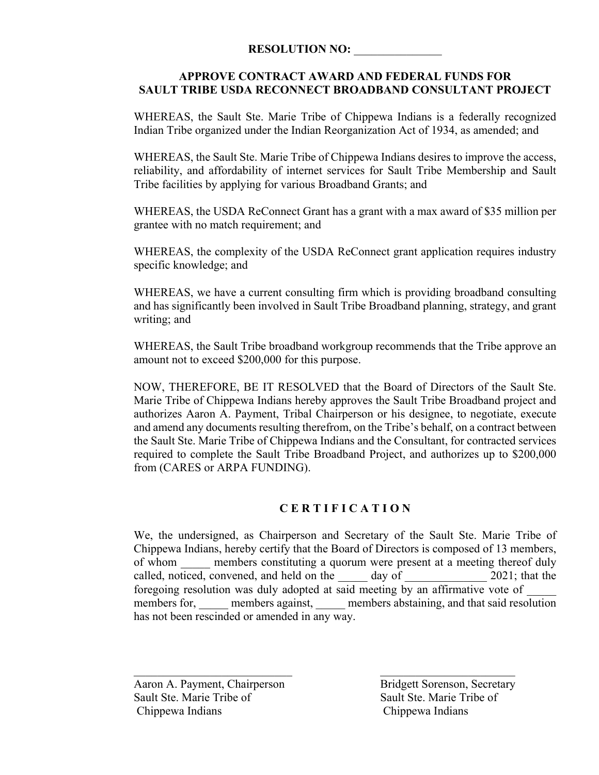## **APPROVE CONTRACT AWARD AND FEDERAL FUNDS FOR SAULT TRIBE USDA RECONNECT BROADBAND CONSULTANT PROJECT**

WHEREAS, the Sault Ste. Marie Tribe of Chippewa Indians is a federally recognized Indian Tribe organized under the Indian Reorganization Act of 1934, as amended; and

WHEREAS, the Sault Ste. Marie Tribe of Chippewa Indians desires to improve the access, reliability, and affordability of internet services for Sault Tribe Membership and Sault Tribe facilities by applying for various Broadband Grants; and

WHEREAS, the USDA ReConnect Grant has a grant with a max award of \$35 million per grantee with no match requirement; and

WHEREAS, the complexity of the USDA ReConnect grant application requires industry specific knowledge; and

WHEREAS, we have a current consulting firm which is providing broadband consulting and has significantly been involved in Sault Tribe Broadband planning, strategy, and grant writing; and

WHEREAS, the Sault Tribe broadband workgroup recommends that the Tribe approve an amount not to exceed \$200,000 for this purpose.

NOW, THEREFORE, BE IT RESOLVED that the Board of Directors of the Sault Ste. Marie Tribe of Chippewa Indians hereby approves the Sault Tribe Broadband project and authorizes Aaron A. Payment, Tribal Chairperson or his designee, to negotiate, execute and amend any documents resulting therefrom, on the Tribe's behalf, on a contract between the Sault Ste. Marie Tribe of Chippewa Indians and the Consultant, for contracted services required to complete the Sault Tribe Broadband Project, and authorizes up to \$200,000 from (CARES or ARPA FUNDING).

## **C E R T I F I C A T I O N**

We, the undersigned, as Chairperson and Secretary of the Sault Ste. Marie Tribe of Chippewa Indians, hereby certify that the Board of Directors is composed of 13 members, of whom members constituting a quorum were present at a meeting thereof duly called, noticed, convened, and held on the day of 2021; that the foregoing resolution was duly adopted at said meeting by an affirmative vote of members for, members against, members abstaining, and that said resolution has not been rescinded or amended in any way.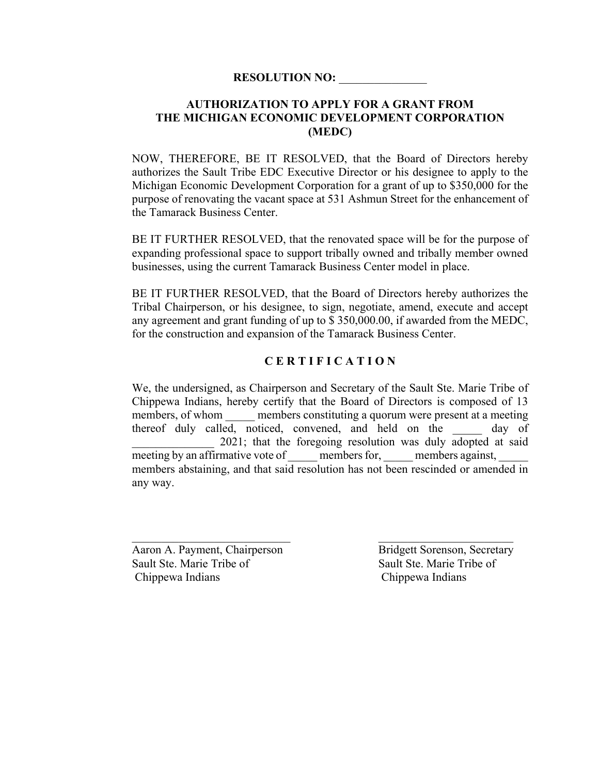## **AUTHORIZATION TO APPLY FOR A GRANT FROM THE MICHIGAN ECONOMIC DEVELOPMENT CORPORATION (MEDC)**

NOW, THEREFORE, BE IT RESOLVED, that the Board of Directors hereby authorizes the Sault Tribe EDC Executive Director or his designee to apply to the Michigan Economic Development Corporation for a grant of up to \$350,000 for the purpose of renovating the vacant space at 531 Ashmun Street for the enhancement of the Tamarack Business Center.

BE IT FURTHER RESOLVED, that the renovated space will be for the purpose of expanding professional space to support tribally owned and tribally member owned businesses, using the current Tamarack Business Center model in place.

BE IT FURTHER RESOLVED, that the Board of Directors hereby authorizes the Tribal Chairperson, or his designee, to sign, negotiate, amend, execute and accept any agreement and grant funding of up to \$ 350,000.00, if awarded from the MEDC, for the construction and expansion of the Tamarack Business Center.

## **C E R T I F I C A T I O N**

We, the undersigned, as Chairperson and Secretary of the Sault Ste. Marie Tribe of Chippewa Indians, hereby certify that the Board of Directors is composed of 13 members, of whom members constituting a quorum were present at a meeting thereof duly called, noticed, convened, and held on the \_\_\_\_\_ day of \_\_\_\_\_\_\_\_\_\_\_\_\_\_ 2021; that the foregoing resolution was duly adopted at said meeting by an affirmative vote of members for, members against, members abstaining, and that said resolution has not been rescinded or amended in any way.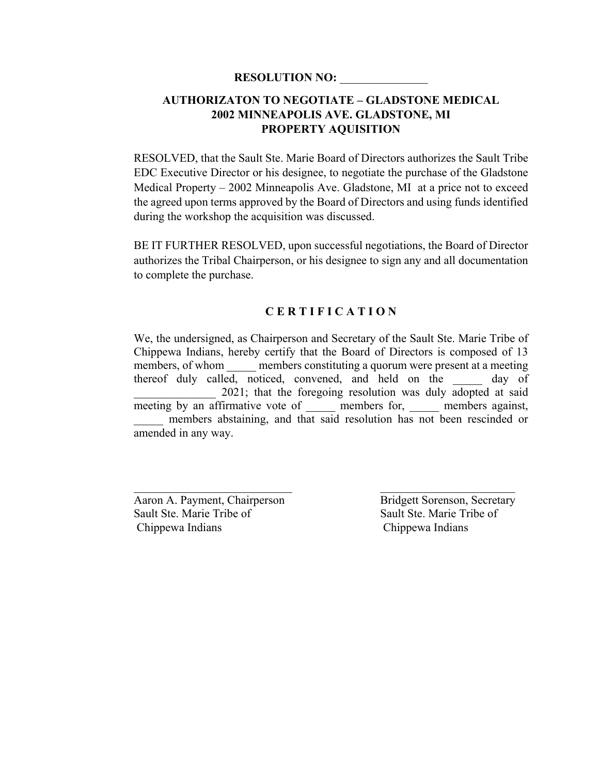## **AUTHORIZATON TO NEGOTIATE – GLADSTONE MEDICAL 2002 MINNEAPOLIS AVE. GLADSTONE, MI PROPERTY AQUISITION**

RESOLVED, that the Sault Ste. Marie Board of Directors authorizes the Sault Tribe EDC Executive Director or his designee, to negotiate the purchase of the Gladstone Medical Property – 2002 Minneapolis Ave. Gladstone, MI at a price not to exceed the agreed upon terms approved by the Board of Directors and using funds identified during the workshop the acquisition was discussed.

BE IT FURTHER RESOLVED, upon successful negotiations, the Board of Director authorizes the Tribal Chairperson, or his designee to sign any and all documentation to complete the purchase.

#### **C E R T I F I C A T I O N**

We, the undersigned, as Chairperson and Secretary of the Sault Ste. Marie Tribe of Chippewa Indians, hereby certify that the Board of Directors is composed of 13 members, of whom members constituting a quorum were present at a meeting thereof duly called, noticed, convened, and held on the day of 2021; that the foregoing resolution was duly adopted at said meeting by an affirmative vote of \_\_\_\_\_\_ members for, \_\_\_\_\_ members against, members abstaining, and that said resolution has not been rescinded or amended in any way.

Aaron A. Payment, Chairperson<br>
Sault Ste. Marie Tribe of Sault Ste. Marie Tribe of Chippewa Indians Chippewa Indians

Sault Ste. Marie Tribe of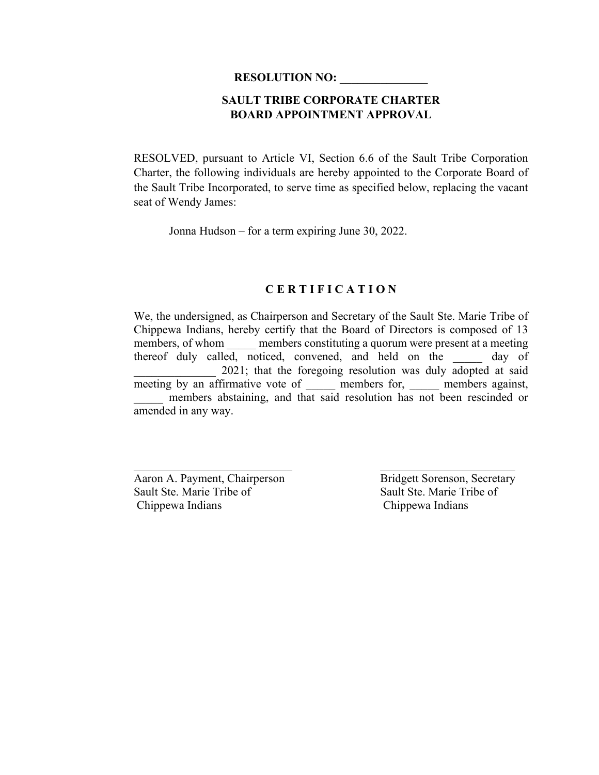## **SAULT TRIBE CORPORATE CHARTER BOARD APPOINTMENT APPROVAL**

RESOLVED, pursuant to Article VI, Section 6.6 of the Sault Tribe Corporation Charter, the following individuals are hereby appointed to the Corporate Board of the Sault Tribe Incorporated, to serve time as specified below, replacing the vacant seat of Wendy James:

Jonna Hudson – for a term expiring June 30, 2022.

#### **C E R T I F I C A T I O N**

We, the undersigned, as Chairperson and Secretary of the Sault Ste. Marie Tribe of Chippewa Indians, hereby certify that the Board of Directors is composed of 13 members, of whom \_\_\_\_\_\_ members constituting a quorum were present at a meeting thereof duly called, noticed, convened, and held on the \_\_\_\_\_ day of 2021; that the foregoing resolution was duly adopted at said meeting by an affirmative vote of emembers for, emembers against, members abstaining, and that said resolution has not been rescinded or amended in any way.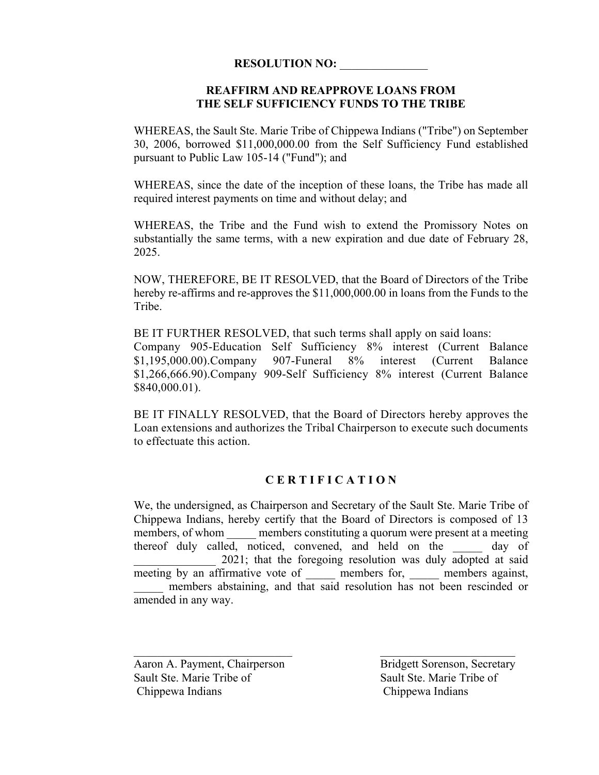### **REAFFIRM AND REAPPROVE LOANS FROM THE SELF SUFFICIENCY FUNDS TO THE TRIBE**

WHEREAS, the Sault Ste. Marie Tribe of Chippewa Indians ("Tribe") on September 30, 2006, borrowed \$11,000,000.00 from the Self Sufficiency Fund established pursuant to Public Law 105-14 ("Fund"); and

WHEREAS, since the date of the inception of these loans, the Tribe has made all required interest payments on time and without delay; and

WHEREAS, the Tribe and the Fund wish to extend the Promissory Notes on substantially the same terms, with a new expiration and due date of February 28, 2025.

NOW, THEREFORE, BE IT RESOLVED, that the Board of Directors of the Tribe hereby re-affirms and re-approves the \$11,000,000.00 in loans from the Funds to the Tribe.

BE IT FURTHER RESOLVED, that such terms shall apply on said loans:

Company 905-Education Self Sufficiency 8% interest (Current Balance \$1,195,000.00).Company 907-Funeral 8% interest (Current Balance \$1,266,666.90).Company 909-Self Sufficiency 8% interest (Current Balance \$840,000.01).

BE IT FINALLY RESOLVED, that the Board of Directors hereby approves the Loan extensions and authorizes the Tribal Chairperson to execute such documents to effectuate this action.

#### **C E R T I F I C A T I O N**

We, the undersigned, as Chairperson and Secretary of the Sault Ste. Marie Tribe of Chippewa Indians, hereby certify that the Board of Directors is composed of 13 members, of whom members constituting a quorum were present at a meeting thereof duly called, noticed, convened, and held on the day of 2021; that the foregoing resolution was duly adopted at said meeting by an affirmative vote of emembers for, members against, members abstaining, and that said resolution has not been rescinded or amended in any way.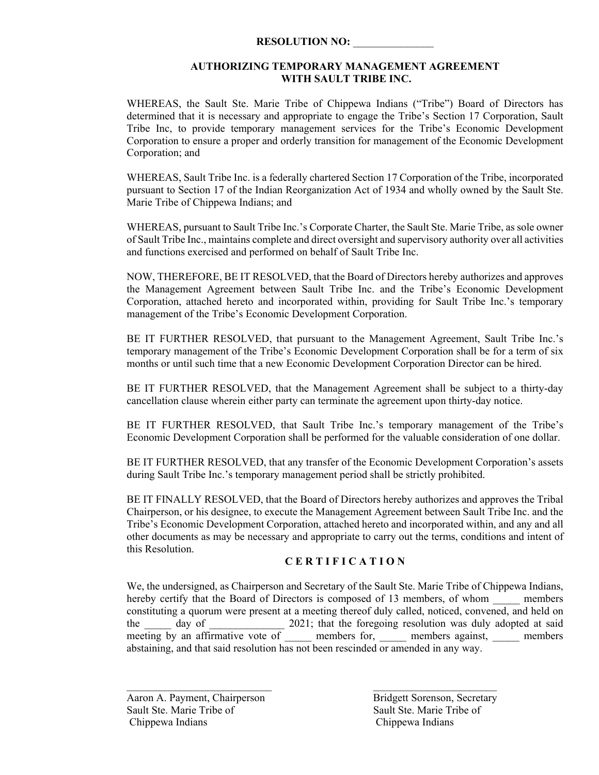#### **AUTHORIZING TEMPORARY MANAGEMENT AGREEMENT WITH SAULT TRIBE INC.**

WHEREAS, the Sault Ste. Marie Tribe of Chippewa Indians ("Tribe") Board of Directors has determined that it is necessary and appropriate to engage the Tribe's Section 17 Corporation, Sault Tribe Inc, to provide temporary management services for the Tribe's Economic Development Corporation to ensure a proper and orderly transition for management of the Economic Development Corporation; and

WHEREAS, Sault Tribe Inc. is a federally chartered Section 17 Corporation of the Tribe, incorporated pursuant to Section 17 of the Indian Reorganization Act of 1934 and wholly owned by the Sault Ste. Marie Tribe of Chippewa Indians; and

WHEREAS, pursuant to Sault Tribe Inc.'s Corporate Charter, the Sault Ste. Marie Tribe, as sole owner of Sault Tribe Inc., maintains complete and direct oversight and supervisory authority over all activities and functions exercised and performed on behalf of Sault Tribe Inc.

NOW, THEREFORE, BE IT RESOLVED, that the Board of Directors hereby authorizes and approves the Management Agreement between Sault Tribe Inc. and the Tribe's Economic Development Corporation, attached hereto and incorporated within, providing for Sault Tribe Inc.'s temporary management of the Tribe's Economic Development Corporation.

BE IT FURTHER RESOLVED, that pursuant to the Management Agreement, Sault Tribe Inc.'s temporary management of the Tribe's Economic Development Corporation shall be for a term of six months or until such time that a new Economic Development Corporation Director can be hired.

BE IT FURTHER RESOLVED, that the Management Agreement shall be subject to a thirty-day cancellation clause wherein either party can terminate the agreement upon thirty-day notice.

BE IT FURTHER RESOLVED, that Sault Tribe Inc.'s temporary management of the Tribe's Economic Development Corporation shall be performed for the valuable consideration of one dollar.

BE IT FURTHER RESOLVED, that any transfer of the Economic Development Corporation's assets during Sault Tribe Inc.'s temporary management period shall be strictly prohibited.

BE IT FINALLY RESOLVED, that the Board of Directors hereby authorizes and approves the Tribal Chairperson, or his designee, to execute the Management Agreement between Sault Tribe Inc. and the Tribe's Economic Development Corporation, attached hereto and incorporated within, and any and all other documents as may be necessary and appropriate to carry out the terms, conditions and intent of this Resolution.

#### **C E R T I F I C A T I O N**

We, the undersigned, as Chairperson and Secretary of the Sault Ste. Marie Tribe of Chippewa Indians, hereby certify that the Board of Directors is composed of 13 members, of whom \_\_\_\_\_ members constituting a quorum were present at a meeting thereof duly called, noticed, convened, and held on the \_\_\_\_\_ day of \_\_\_\_\_\_\_\_\_\_\_\_\_ 2021; that the foregoing resolution was duly adopted at said meeting by an affirmative vote of and members for, and members against, and members abstaining, and that said resolution has not been rescinded or amended in any way.

 $\mathcal{L}_\text{max}$  and the contract of the contract of the contract of the contract of the contract of the contract of the contract of the contract of the contract of the contract of the contract of the contract of the contrac

Sault Ste. Marie Tribe of Sault Ste. Marie Tribe of Chippewa Indians Chippewa Indians

Aaron A. Payment, Chairperson Bridgett Sorenson, Secretary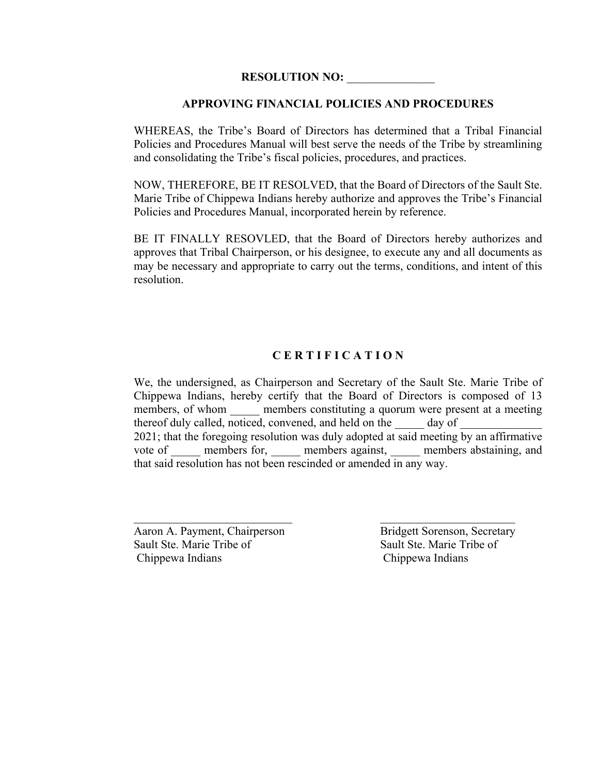#### **APPROVING FINANCIAL POLICIES AND PROCEDURES**

WHEREAS, the Tribe's Board of Directors has determined that a Tribal Financial Policies and Procedures Manual will best serve the needs of the Tribe by streamlining and consolidating the Tribe's fiscal policies, procedures, and practices.

NOW, THEREFORE, BE IT RESOLVED, that the Board of Directors of the Sault Ste. Marie Tribe of Chippewa Indians hereby authorize and approves the Tribe's Financial Policies and Procedures Manual, incorporated herein by reference.

BE IT FINALLY RESOVLED, that the Board of Directors hereby authorizes and approves that Tribal Chairperson, or his designee, to execute any and all documents as may be necessary and appropriate to carry out the terms, conditions, and intent of this resolution.

## **C E R T I F I C A T I O N**

We, the undersigned, as Chairperson and Secretary of the Sault Ste. Marie Tribe of Chippewa Indians, hereby certify that the Board of Directors is composed of 13 members, of whom \_\_\_\_\_\_ members constituting a quorum were present at a meeting thereof duly called, noticed, convened, and held on the day of 2021; that the foregoing resolution was duly adopted at said meeting by an affirmative vote of \_\_\_\_\_ members for, \_\_\_\_\_ members against, \_\_\_\_\_ members abstaining, and that said resolution has not been rescinded or amended in any way.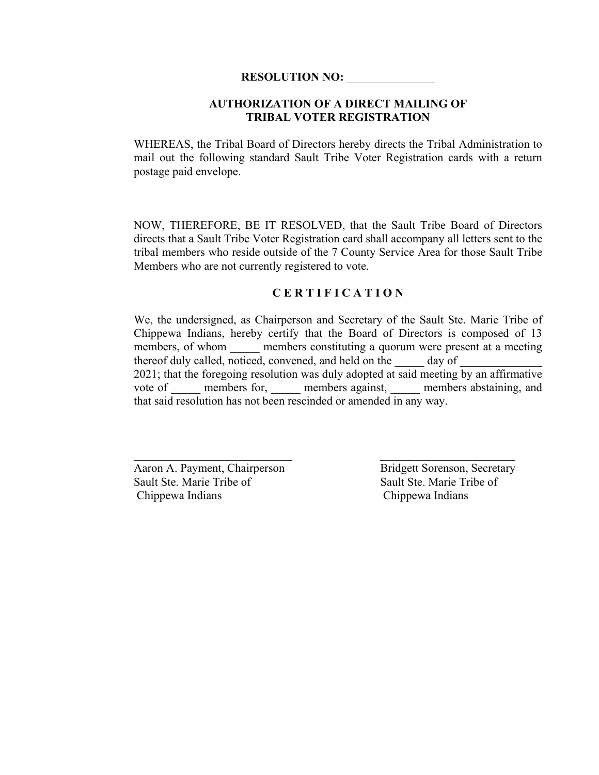#### **AUTHORIZATION OF A DIRECT MAILING OF TRIBAL VOTER REGISTRATION**

WHEREAS, the Tribal Board of Directors hereby directs the Tribal Administration to mail out the following standard Sault Tribe Voter Registration cards with a return postage paid envelope.

NOW, THEREFORE, BE IT RESOLVED, that the Sault Tribe Board of Directors directs that a Sault Tribe Voter Registration card shall accompany all letters sent to the tribal members who reside outside of the 7 County Service Area for those Sault Tribe Members who are not currently registered to vote.

#### **C E R T I F I C A T I O N**

We, the undersigned, as Chairperson and Secretary of the Sault Ste. Marie Tribe of Chippewa Indians, hereby certify that the Board of Directors is composed of 13 members, of whom \_\_\_\_\_\_ members constituting a quorum were present at a meeting thereof duly called, noticed, convened, and held on the  $\qquad \qquad$  day of 2021; that the foregoing resolution was duly adopted at said meeting by an affirmative vote of \_\_\_\_\_\_ members for, \_\_\_\_\_ members against, \_\_\_\_\_ members abstaining, and that said resolution has not been rescinded or amended in any way.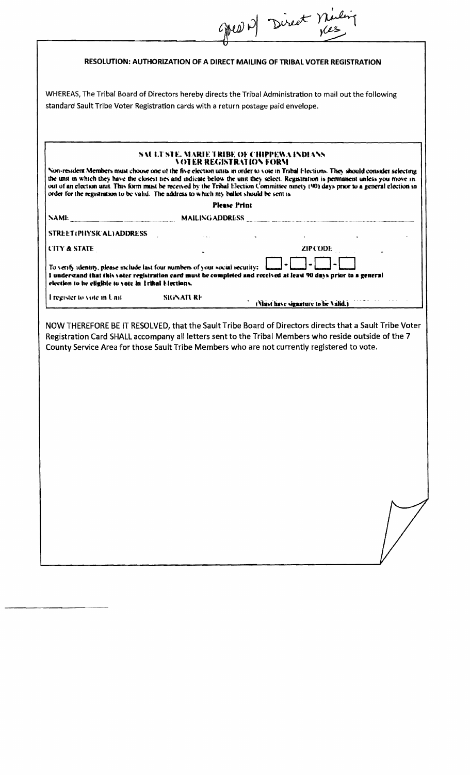|                                                      | Green de Direct Miling                                                                                                                                                                                                                                                                                                                                                                                                                                                                                                                                                                         |
|------------------------------------------------------|------------------------------------------------------------------------------------------------------------------------------------------------------------------------------------------------------------------------------------------------------------------------------------------------------------------------------------------------------------------------------------------------------------------------------------------------------------------------------------------------------------------------------------------------------------------------------------------------|
|                                                      | RESOLUTION: AUTHORIZATION OF A DIRECT MAILING OF TRIBAL VOTER REGISTRATION                                                                                                                                                                                                                                                                                                                                                                                                                                                                                                                     |
|                                                      | WHEREAS, The Tribal Board of Directors hereby directs the Tribal Administration to mail out the following<br>standard Sault Tribe Voter Registration cards with a return postage paid envelope.                                                                                                                                                                                                                                                                                                                                                                                                |
|                                                      | SAULT STE, MARIE TRIBE OF CHIPPEWA INDIANS<br><b>NOTER REGISTRATION FORM</b><br>Non-resident Members must choose one of the five election units in order to vote in Tribal Elections. They should consider selecting<br>the unit in which they have the closest nes and indicate below the unit they select. Registration is permanent unless you move in-<br>out of an election unit. This form must be received by the Tribal Election Committee ninety (90) days prior to a general election in<br>order for the registration to be valid. The address to which my ballot should be sent is |
|                                                      | <b>Please Print</b>                                                                                                                                                                                                                                                                                                                                                                                                                                                                                                                                                                            |
| NAME                                                 |                                                                                                                                                                                                                                                                                                                                                                                                                                                                                                                                                                                                |
| STREET(PHYSICAL)ADDRESS                              |                                                                                                                                                                                                                                                                                                                                                                                                                                                                                                                                                                                                |
| <b>CITY &amp; STATE</b>                              | ZIP CODE                                                                                                                                                                                                                                                                                                                                                                                                                                                                                                                                                                                       |
| clection to be eligible to vote in Tribal Elections. | To verify identity, please include last four numbers of your social security:<br>I understand that this voter registration card must be completed and received at least 90 days prior to a general                                                                                                                                                                                                                                                                                                                                                                                             |
| I register to vote in Unit                           | <b>Example 18 SK ATT RF</b><br>(Must have signature to be Valid.)                                                                                                                                                                                                                                                                                                                                                                                                                                                                                                                              |
|                                                      | NOW THEREFORE BE IT RESOLVED, that the Sault Tribe Board of Directors directs that a Sault Tribe Voter<br>Registration Card SHALL accompany all letters sent to the Tribal Members who reside outside of the 7<br>County Service Area for those Sault Tribe Members who are not currently registered to vote.                                                                                                                                                                                                                                                                                  |
|                                                      |                                                                                                                                                                                                                                                                                                                                                                                                                                                                                                                                                                                                |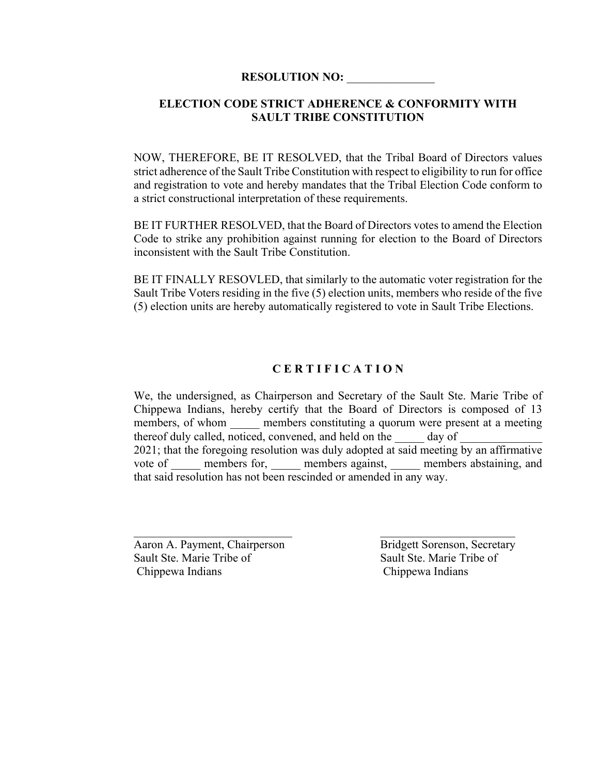## **ELECTION CODE STRICT ADHERENCE & CONFORMITY WITH SAULT TRIBE CONSTITUTION**

NOW, THEREFORE, BE IT RESOLVED, that the Tribal Board of Directors values strict adherence of the Sault Tribe Constitution with respect to eligibility to run for office and registration to vote and hereby mandates that the Tribal Election Code conform to a strict constructional interpretation of these requirements.

BE IT FURTHER RESOLVED, that the Board of Directors votes to amend the Election Code to strike any prohibition against running for election to the Board of Directors inconsistent with the Sault Tribe Constitution.

BE IT FINALLY RESOVLED, that similarly to the automatic voter registration for the Sault Tribe Voters residing in the five (5) election units, members who reside of the five (5) election units are hereby automatically registered to vote in Sault Tribe Elections.

## **C E R T I F I C A T I O N**

We, the undersigned, as Chairperson and Secretary of the Sault Ste. Marie Tribe of Chippewa Indians, hereby certify that the Board of Directors is composed of 13 members, of whom members constituting a quorum were present at a meeting thereof duly called, noticed, convened, and held on the day of 2021; that the foregoing resolution was duly adopted at said meeting by an affirmative vote of all members for, and members against, and members abstaining, and that said resolution has not been rescinded or amended in any way.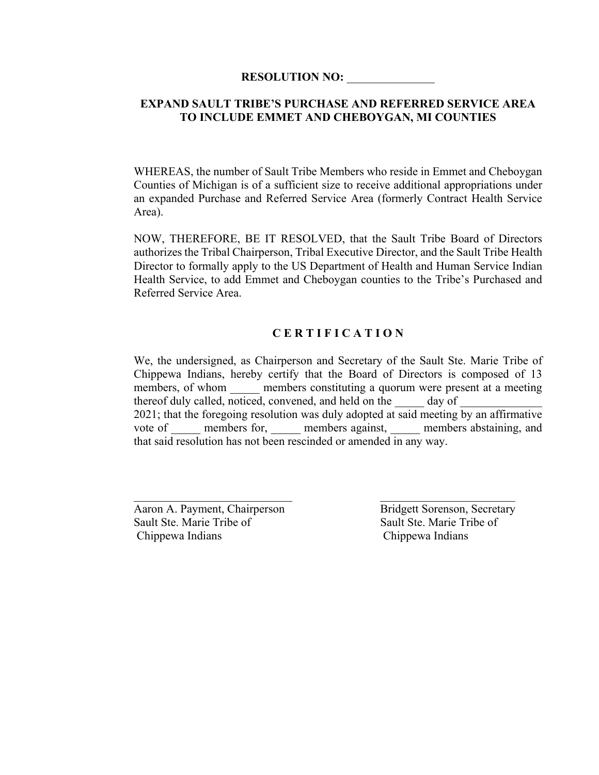## **EXPAND SAULT TRIBE'S PURCHASE AND REFERRED SERVICE AREA TO INCLUDE EMMET AND CHEBOYGAN, MI COUNTIES**

WHEREAS, the number of Sault Tribe Members who reside in Emmet and Cheboygan Counties of Michigan is of a sufficient size to receive additional appropriations under an expanded Purchase and Referred Service Area (formerly Contract Health Service Area).

NOW, THEREFORE, BE IT RESOLVED, that the Sault Tribe Board of Directors authorizes the Tribal Chairperson, Tribal Executive Director, and the Sault Tribe Health Director to formally apply to the US Department of Health and Human Service Indian Health Service, to add Emmet and Cheboygan counties to the Tribe's Purchased and Referred Service Area.

## **C E R T I F I C A T I O N**

We, the undersigned, as Chairperson and Secretary of the Sault Ste. Marie Tribe of Chippewa Indians, hereby certify that the Board of Directors is composed of 13 members, of whom members constituting a quorum were present at a meeting thereof duly called, noticed, convened, and held on the day of 2021; that the foregoing resolution was duly adopted at said meeting by an affirmative vote of \_\_\_\_\_\_ members for, \_\_\_\_\_ members against, \_\_\_\_\_ members abstaining, and that said resolution has not been rescinded or amended in any way.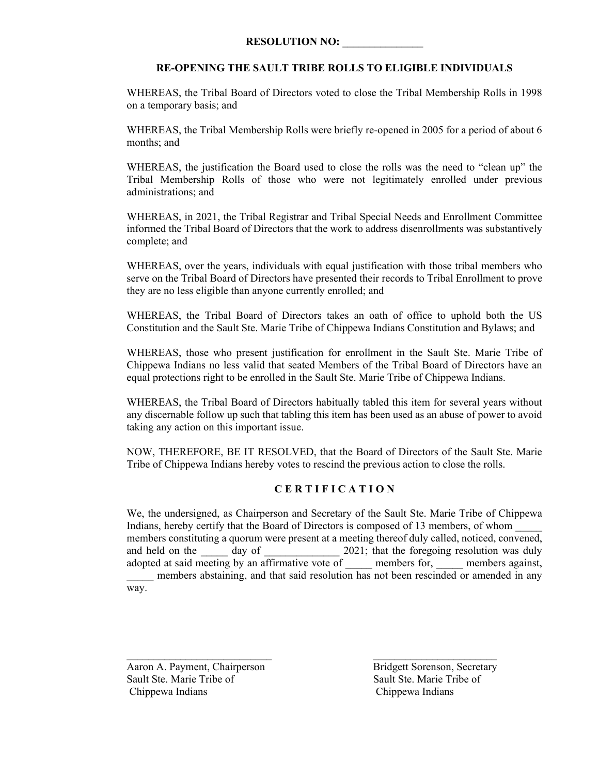#### **RE-OPENING THE SAULT TRIBE ROLLS TO ELIGIBLE INDIVIDUALS**

WHEREAS, the Tribal Board of Directors voted to close the Tribal Membership Rolls in 1998 on a temporary basis; and

WHEREAS, the Tribal Membership Rolls were briefly re-opened in 2005 for a period of about 6 months; and

WHEREAS, the justification the Board used to close the rolls was the need to "clean up" the Tribal Membership Rolls of those who were not legitimately enrolled under previous administrations; and

WHEREAS, in 2021, the Tribal Registrar and Tribal Special Needs and Enrollment Committee informed the Tribal Board of Directors that the work to address disenrollments was substantively complete; and

WHEREAS, over the years, individuals with equal justification with those tribal members who serve on the Tribal Board of Directors have presented their records to Tribal Enrollment to prove they are no less eligible than anyone currently enrolled; and

WHEREAS, the Tribal Board of Directors takes an oath of office to uphold both the US Constitution and the Sault Ste. Marie Tribe of Chippewa Indians Constitution and Bylaws; and

WHEREAS, those who present justification for enrollment in the Sault Ste. Marie Tribe of Chippewa Indians no less valid that seated Members of the Tribal Board of Directors have an equal protections right to be enrolled in the Sault Ste. Marie Tribe of Chippewa Indians.

WHEREAS, the Tribal Board of Directors habitually tabled this item for several years without any discernable follow up such that tabling this item has been used as an abuse of power to avoid taking any action on this important issue.

NOW, THEREFORE, BE IT RESOLVED, that the Board of Directors of the Sault Ste. Marie Tribe of Chippewa Indians hereby votes to rescind the previous action to close the rolls.

#### **C E R T I F I C A T I O N**

We, the undersigned, as Chairperson and Secretary of the Sault Ste. Marie Tribe of Chippewa Indians, hereby certify that the Board of Directors is composed of 13 members, of whom \_\_\_\_\_ members constituting a quorum were present at a meeting thereof duly called, noticed, convened, and held on the day of  $\frac{2021}{3}$ ; that the foregoing resolution was duly adopted at said meeting by an affirmative vote of members for, members against, adopted at said meeting by an affirmative vote of \_\_\_\_\_ members abstaining, and that said resolution has not been rescinded or amended in any way.

 $\mathcal{L}_\text{max}$  and the contract of the contract of the contract of the contract of the contract of the contract of the contract of the contract of the contract of the contract of the contract of the contract of the contrac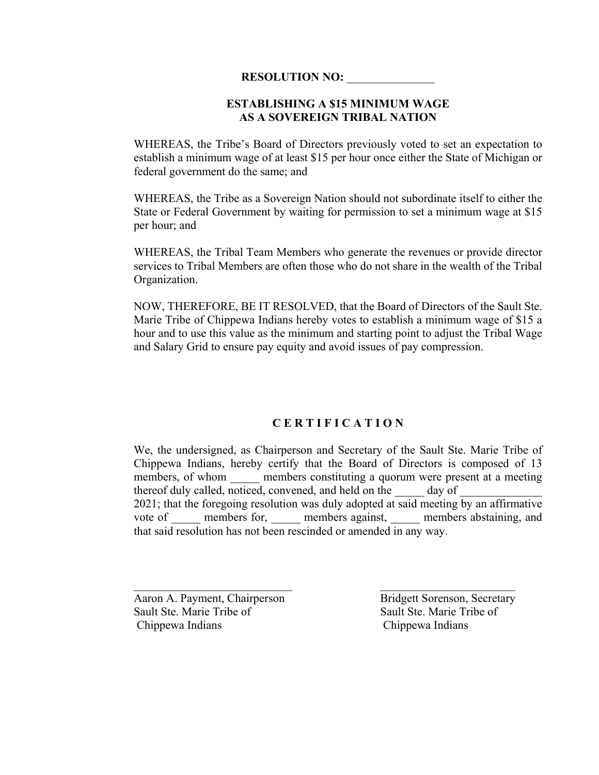#### **ESTABLISHING A \$15 MINIMUM WAGE AS A SOVEREIGN TRIBAL NATION**

WHEREAS, the Tribe's Board of Directors previously voted to set an expectation to establish a minimum wage of at least \$15 per hour once either the State of Michigan or federal government do the same; and

WHEREAS, the Tribe as a Sovereign Nation should not subordinate itself to either the State or Federal Government by waiting for permission to set a minimum wage at \$15 per hour; and

WHEREAS, the Tribal Team Members who generate the revenues or provide director services to Tribal Members are often those who do not share in the wealth of the Tribal Organization.

NOW, THEREFORE, BE IT RESOLVED, that the Board of Directors of the Sault Ste. Marie Tribe of Chippewa Indians hereby votes to establish a minimum wage of \$15 a hour and to use this value as the minimum and starting point to adjust the Tribal Wage and Salary Grid to ensure pay equity and avoid issues of pay compression.

#### **C E R T I F I C A T I O N**

We, the undersigned, as Chairperson and Secretary of the Sault Ste. Marie Tribe of Chippewa Indians, hereby certify that the Board of Directors is composed of 13 members, of whom \_\_\_\_\_\_ members constituting a quorum were present at a meeting thereof duly called, noticed, convened, and held on the day of 2021; that the foregoing resolution was duly adopted at said meeting by an affirmative vote of and members for, and members against, and members abstaining, and that said resolution has not been rescinded or amended in any way.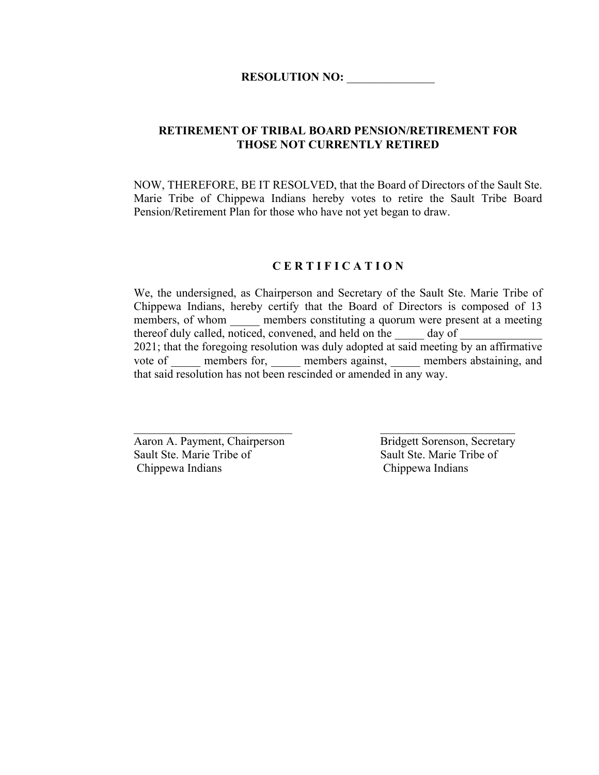#### **RETIREMENT OF TRIBAL BOARD PENSION/RETIREMENT FOR THOSE NOT CURRENTLY RETIRED**

NOW, THEREFORE, BE IT RESOLVED, that the Board of Directors of the Sault Ste. Marie Tribe of Chippewa Indians hereby votes to retire the Sault Tribe Board Pension/Retirement Plan for those who have not yet began to draw.

#### **C E R T I F I C A T I O N**

We, the undersigned, as Chairperson and Secretary of the Sault Ste. Marie Tribe of Chippewa Indians, hereby certify that the Board of Directors is composed of 13 members, of whom members constituting a quorum were present at a meeting thereof duly called, noticed, convened, and held on the day of 2021; that the foregoing resolution was duly adopted at said meeting by an affirmative vote of members for, members against, members abstaining, and that said resolution has not been rescinded or amended in any way.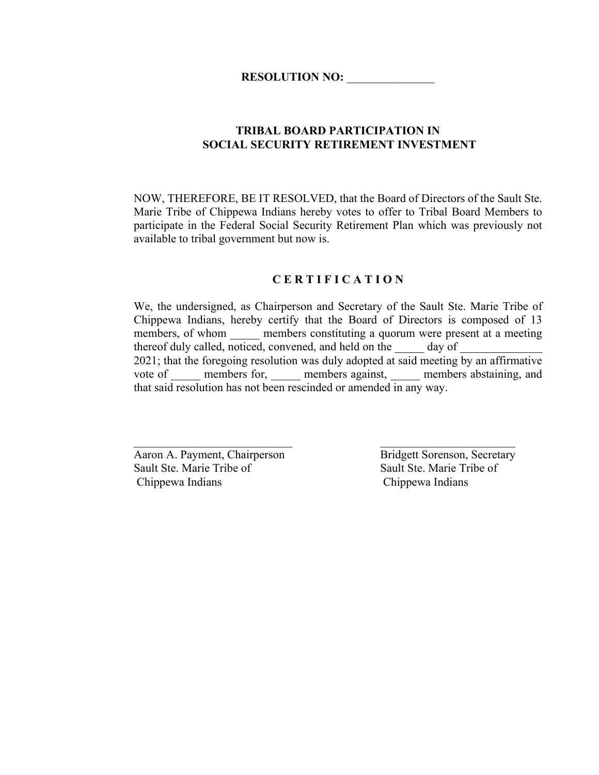## **TRIBAL BOARD PARTICIPATION IN SOCIAL SECURITY RETIREMENT INVESTMENT**

NOW, THEREFORE, BE IT RESOLVED, that the Board of Directors of the Sault Ste. Marie Tribe of Chippewa Indians hereby votes to offer to Tribal Board Members to participate in the Federal Social Security Retirement Plan which was previously not available to tribal government but now is.

#### **C E R T I F I C A T I O N**

We, the undersigned, as Chairperson and Secretary of the Sault Ste. Marie Tribe of Chippewa Indians, hereby certify that the Board of Directors is composed of 13 members, of whom **members constituting a quorum were present at a meeting** thereof duly called, noticed, convened, and held on the  $\frac{1}{\sqrt{2}}$  day of 2021; that the foregoing resolution was duly adopted at said meeting by an affirmative vote of \_\_\_\_\_\_ members for, \_\_\_\_\_ members against, \_\_\_\_\_ members abstaining, and that said resolution has not been rescinded or amended in any way.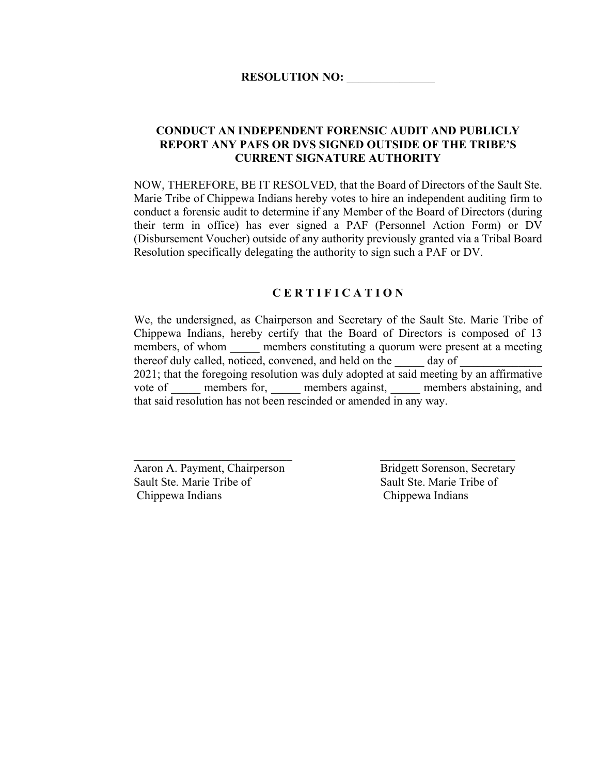#### **CONDUCT AN INDEPENDENT FORENSIC AUDIT AND PUBLICLY REPORT ANY PAFS OR DVS SIGNED OUTSIDE OF THE TRIBE'S CURRENT SIGNATURE AUTHORITY**

NOW, THEREFORE, BE IT RESOLVED, that the Board of Directors of the Sault Ste. Marie Tribe of Chippewa Indians hereby votes to hire an independent auditing firm to conduct a forensic audit to determine if any Member of the Board of Directors (during their term in office) has ever signed a PAF (Personnel Action Form) or DV (Disbursement Voucher) outside of any authority previously granted via a Tribal Board Resolution specifically delegating the authority to sign such a PAF or DV.

#### **C E R T I F I C A T I O N**

We, the undersigned, as Chairperson and Secretary of the Sault Ste. Marie Tribe of Chippewa Indians, hereby certify that the Board of Directors is composed of 13 members, of whom \_\_\_\_\_\_ members constituting a quorum were present at a meeting thereof duly called, noticed, convened, and held on the day of 2021; that the foregoing resolution was duly adopted at said meeting by an affirmative vote of members for, members against, members abstaining, and that said resolution has not been rescinded or amended in any way.